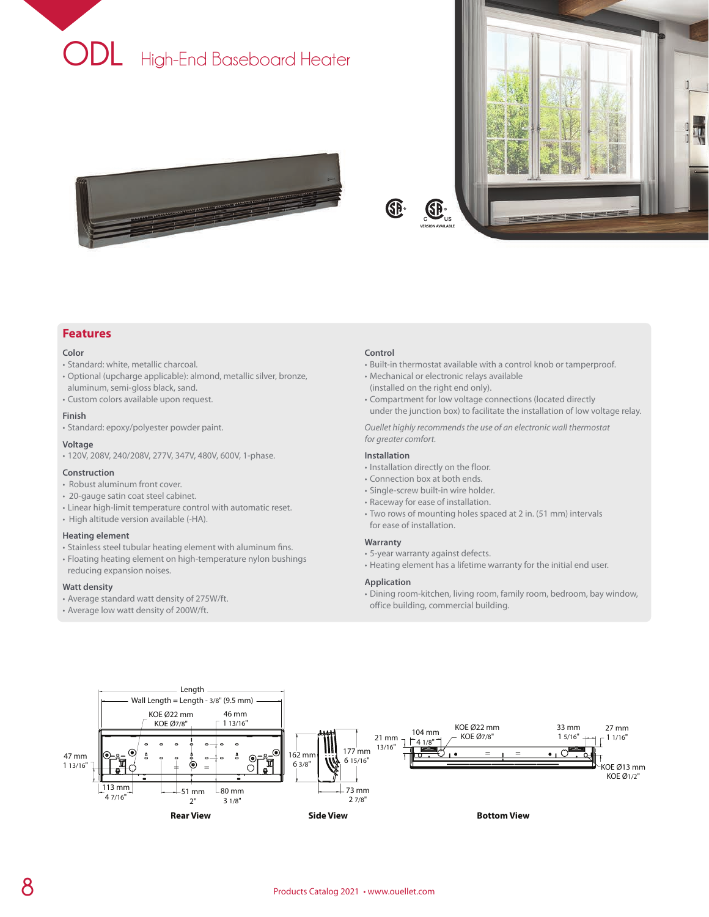





### **Features**

#### **Color**

- Standard: white, metallic charcoal.
- Optional (upcharge applicable): almond, metallic silver, bronze, aluminum, semi-gloss black, sand.
- Custom colors available upon request.

#### **Finish**

• Standard: epoxy/polyester powder paint.

#### **Voltage**

• 120V, 208V, 240/208V, 277V, 347V, 480V, 600V, 1-phase.

#### **Construction**

- Robust aluminum front cover.
- 20-gauge satin coat steel cabinet.
- Linear high-limit temperature control with automatic reset.
- High altitude version available (-HA).

#### **Heating element**

- Stainless steel tubular heating element with aluminum fins.
- Floating heating element on high-temperature nylon bushings reducing expansion noises.

#### **Watt density**

- Average standard watt density of 275W/ft.
- Average low watt density of 200W/ft.

#### **Control**

®

- Built-in thermostat available with a control knob or tamperproof.
- Mechanical or electronic relays available (installed on the right end only).
- Compartment for low voltage connections (located directly under the junction box) to facilitate the installation of low voltage relay.

*Ouellet highly recommends the use of an electronic wall thermostat for greater comfort.*

### **Installation**

- Installation directly on the floor.
- Connection box at both ends.
- Single-screw built-in wire holder.
- Raceway for ease of installation.
- Two rows of mounting holes spaced at 2 in. (51 mm) intervals for ease of installation.

#### **Warranty**

- 5-year warranty against defects.
- Heating element has a lifetime warranty for the initial end user.

#### **Application**

• Dining room-kitchen, living room, family room, bedroom, bay window, office building, commercial building.